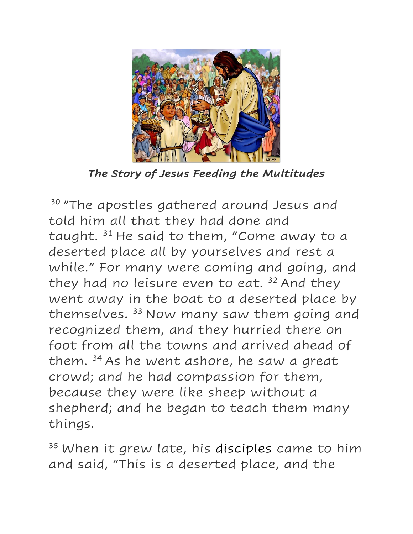

*The Story of Jesus Feeding the Multitudes*

<sup>30</sup> "The apostles gathered around Jesus and told him all that they had done and taught. <sup>31</sup> He said to them, "Come away to a deserted place all by yourselves and rest a while." For many were coming and going, and they had no leisure even to eat.  $32$  And they went away in the boat to a deserted place by themselves.<sup>33</sup> Now many saw them going and recognized them, and they hurried there on foot from all the towns and arrived ahead of them.  $34$  As he went ashore, he saw a great crowd; and he had compassion for them, because they were like sheep without a shepherd; and he began to teach them many things.

<sup>35</sup> When it grew late, his disciples came to him and said, "This is a deserted place, and the